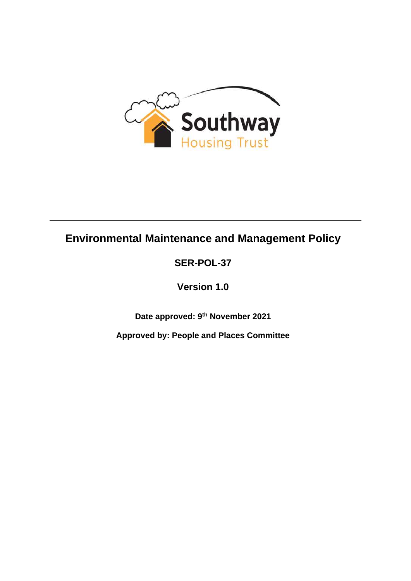

# **Environmental Maintenance and Management Policy**

**SER-POL-37**

**Version 1.0**

**Date approved: 9 th November 2021**

**Approved by: People and Places Committee**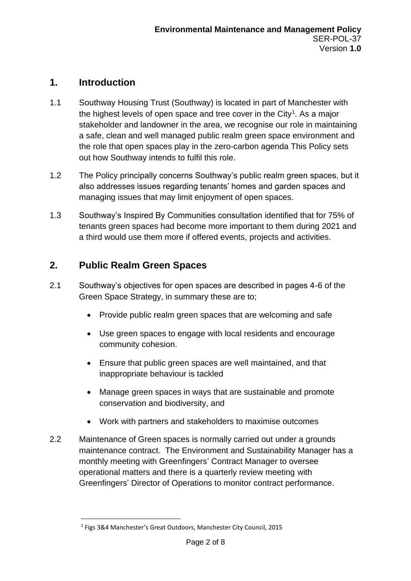### **1. Introduction**

- 1.1 Southway Housing Trust (Southway) is located in part of Manchester with the highest levels of open space and tree cover in the City<sup>1</sup>. As a major stakeholder and landowner in the area, we recognise our role in maintaining a safe, clean and well managed public realm green space environment and the role that open spaces play in the zero-carbon agenda This Policy sets out how Southway intends to fulfil this role.
- 1.2 The Policy principally concerns Southway's public realm green spaces, but it also addresses issues regarding tenants' homes and garden spaces and managing issues that may limit enjoyment of open spaces.
- 1.3 Southway's Inspired By Communities consultation identified that for 75% of tenants green spaces had become more important to them during 2021 and a third would use them more if offered events, projects and activities.

# **2. Public Realm Green Spaces**

- 2.1 Southway's objectives for open spaces are described in pages 4-6 of the Green Space Strategy, in summary these are to;
	- Provide public realm green spaces that are welcoming and safe
	- Use green spaces to engage with local residents and encourage community cohesion.
	- Ensure that public green spaces are well maintained, and that inappropriate behaviour is tackled
	- Manage green spaces in ways that are sustainable and promote conservation and biodiversity, and
	- Work with partners and stakeholders to maximise outcomes
- 2.2 Maintenance of Green spaces is normally carried out under a grounds maintenance contract. The Environment and Sustainability Manager has a monthly meeting with Greenfingers' Contract Manager to oversee operational matters and there is a quarterly review meeting with Greenfingers' Director of Operations to monitor contract performance.

<sup>&</sup>lt;sup>1</sup> Figs 3&4 Manchester's Great Outdoors, Manchester City Council, 2015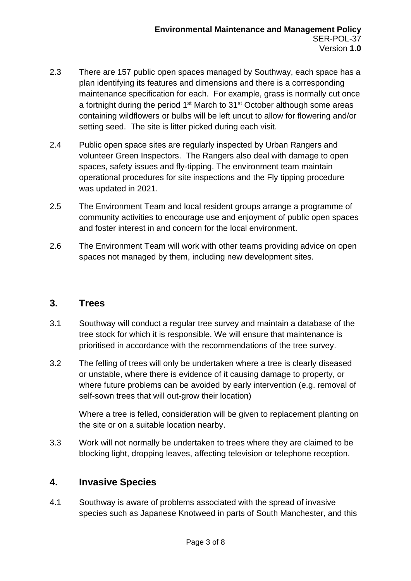- 2.3 There are 157 public open spaces managed by Southway, each space has a plan identifying its features and dimensions and there is a corresponding maintenance specification for each. For example, grass is normally cut once a fortnight during the period 1<sup>st</sup> March to 31<sup>st</sup> October although some areas containing wildflowers or bulbs will be left uncut to allow for flowering and/or setting seed. The site is litter picked during each visit.
- 2.4 Public open space sites are regularly inspected by Urban Rangers and volunteer Green Inspectors. The Rangers also deal with damage to open spaces, safety issues and fly-tipping. The environment team maintain operational procedures for site inspections and the Fly tipping procedure was updated in 2021.
- 2.5 The Environment Team and local resident groups arrange a programme of community activities to encourage use and enjoyment of public open spaces and foster interest in and concern for the local environment.
- 2.6 The Environment Team will work with other teams providing advice on open spaces not managed by them, including new development sites.

### **3. Trees**

- 3.1 Southway will conduct a regular tree survey and maintain a database of the tree stock for which it is responsible. We will ensure that maintenance is prioritised in accordance with the recommendations of the tree survey.
- 3.2 The felling of trees will only be undertaken where a tree is clearly diseased or unstable, where there is evidence of it causing damage to property, or where future problems can be avoided by early intervention (e.g. removal of self-sown trees that will out-grow their location)

Where a tree is felled, consideration will be given to replacement planting on the site or on a suitable location nearby.

3.3 Work will not normally be undertaken to trees where they are claimed to be blocking light, dropping leaves, affecting television or telephone reception.

### **4. Invasive Species**

4.1 Southway is aware of problems associated with the spread of invasive species such as Japanese Knotweed in parts of South Manchester, and this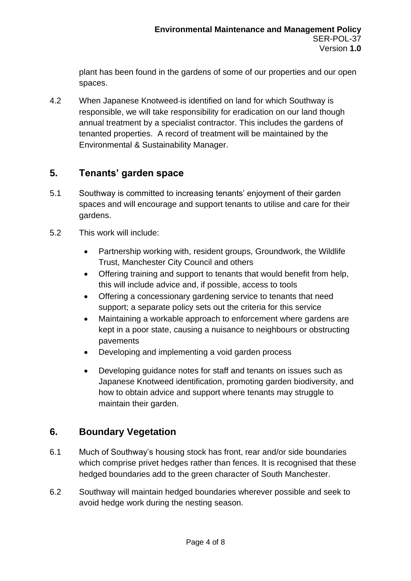plant has been found in the gardens of some of our properties and our open spaces.

4.2 When Japanese Knotweed is identified on land for which Southway is responsible, we will take responsibility for eradication on our land though annual treatment by a specialist contractor. This includes the gardens of tenanted properties. A record of treatment will be maintained by the Environmental & Sustainability Manager.

# **5. Tenants' garden space**

- 5.1 Southway is committed to increasing tenants' enjoyment of their garden spaces and will encourage and support tenants to utilise and care for their gardens.
- 5.2 This work will include:
	- Partnership working with, resident groups, Groundwork, the Wildlife Trust, Manchester City Council and others
	- Offering training and support to tenants that would benefit from help, this will include advice and, if possible, access to tools
	- Offering a concessionary gardening service to tenants that need support; a separate policy sets out the criteria for this service
	- Maintaining a workable approach to enforcement where gardens are kept in a poor state, causing a nuisance to neighbours or obstructing pavements
	- Developing and implementing a void garden process
	- Developing guidance notes for staff and tenants on issues such as Japanese Knotweed identification, promoting garden biodiversity, and how to obtain advice and support where tenants may struggle to maintain their garden.

### **6. Boundary Vegetation**

- 6.1 Much of Southway's housing stock has front, rear and/or side boundaries which comprise privet hedges rather than fences. It is recognised that these hedged boundaries add to the green character of South Manchester.
- 6.2 Southway will maintain hedged boundaries wherever possible and seek to avoid hedge work during the nesting season.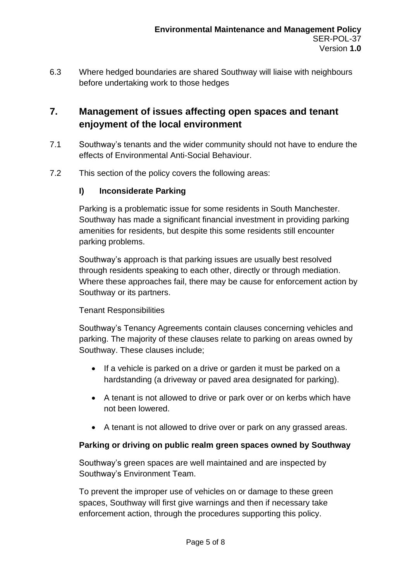6.3 Where hedged boundaries are shared Southway will liaise with neighbours before undertaking work to those hedges

# **7. Management of issues affecting open spaces and tenant enjoyment of the local environment**

- 7.1 Southway's tenants and the wider community should not have to endure the effects of Environmental Anti-Social Behaviour.
- 7.2 This section of the policy covers the following areas:

#### **I) Inconsiderate Parking**

Parking is a problematic issue for some residents in South Manchester. Southway has made a significant financial investment in providing parking amenities for residents, but despite this some residents still encounter parking problems.

Southway's approach is that parking issues are usually best resolved through residents speaking to each other, directly or through mediation. Where these approaches fail, there may be cause for enforcement action by Southway or its partners.

#### Tenant Responsibilities

Southway's Tenancy Agreements contain clauses concerning vehicles and parking. The majority of these clauses relate to parking on areas owned by Southway. These clauses include;

- If a vehicle is parked on a drive or garden it must be parked on a hardstanding (a driveway or paved area designated for parking).
- A tenant is not allowed to drive or park over or on kerbs which have not been lowered.
- A tenant is not allowed to drive over or park on any grassed areas.

#### **Parking or driving on public realm green spaces owned by Southway**

Southway's green spaces are well maintained and are inspected by Southway's Environment Team.

To prevent the improper use of vehicles on or damage to these green spaces, Southway will first give warnings and then if necessary take enforcement action, through the procedures supporting this policy.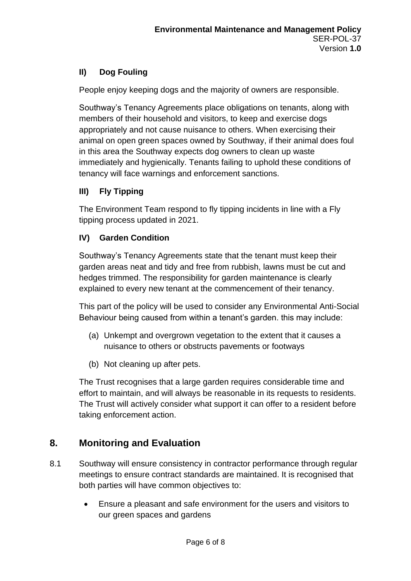### **II) Dog Fouling**

People enjoy keeping dogs and the majority of owners are responsible.

Southway's Tenancy Agreements place obligations on tenants, along with members of their household and visitors, to keep and exercise dogs appropriately and not cause nuisance to others. When exercising their animal on open green spaces owned by Southway, if their animal does foul in this area the Southway expects dog owners to clean up waste immediately and hygienically. Tenants failing to uphold these conditions of tenancy will face warnings and enforcement sanctions.

### **III) Fly Tipping**

The Environment Team respond to fly tipping incidents in line with a Fly tipping process updated in 2021.

### **IV) Garden Condition**

Southway's Tenancy Agreements state that the tenant must keep their garden areas neat and tidy and free from rubbish, lawns must be cut and hedges trimmed. The responsibility for garden maintenance is clearly explained to every new tenant at the commencement of their tenancy.

This part of the policy will be used to consider any Environmental Anti-Social Behaviour being caused from within a tenant's garden. this may include:

- (a) Unkempt and overgrown vegetation to the extent that it causes a nuisance to others or obstructs pavements or footways
- (b) Not cleaning up after pets.

The Trust recognises that a large garden requires considerable time and effort to maintain, and will always be reasonable in its requests to residents. The Trust will actively consider what support it can offer to a resident before taking enforcement action.

### **8. Monitoring and Evaluation**

- 8.1 Southway will ensure consistency in contractor performance through regular meetings to ensure contract standards are maintained. It is recognised that both parties will have common objectives to:
	- Ensure a pleasant and safe environment for the users and visitors to our green spaces and gardens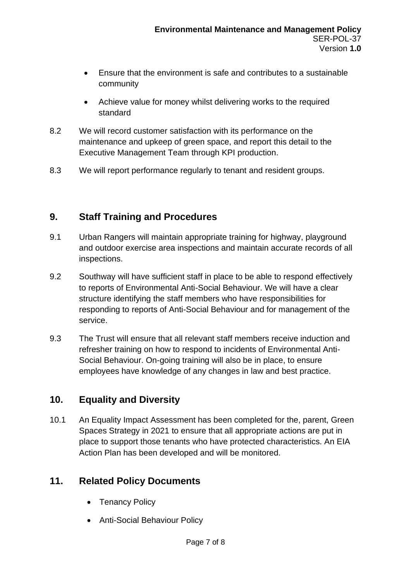- Ensure that the environment is safe and contributes to a sustainable community
- Achieve value for money whilst delivering works to the required standard
- 8.2 We will record customer satisfaction with its performance on the maintenance and upkeep of green space, and report this detail to the Executive Management Team through KPI production.
- 8.3 We will report performance regularly to tenant and resident groups.

# **9. Staff Training and Procedures**

- 9.1 Urban Rangers will maintain appropriate training for highway, playground and outdoor exercise area inspections and maintain accurate records of all inspections.
- 9.2 Southway will have sufficient staff in place to be able to respond effectively to reports of Environmental Anti-Social Behaviour. We will have a clear structure identifying the staff members who have responsibilities for responding to reports of Anti-Social Behaviour and for management of the service.
- 9.3 The Trust will ensure that all relevant staff members receive induction and refresher training on how to respond to incidents of Environmental Anti-Social Behaviour. On-going training will also be in place, to ensure employees have knowledge of any changes in law and best practice.

# **10. Equality and Diversity**

10.1 An Equality Impact Assessment has been completed for the, parent, Green Spaces Strategy in 2021 to ensure that all appropriate actions are put in place to support those tenants who have protected characteristics. An EIA Action Plan has been developed and will be monitored.

# **11. Related Policy Documents**

- Tenancy Policy
- Anti-Social Behaviour Policy